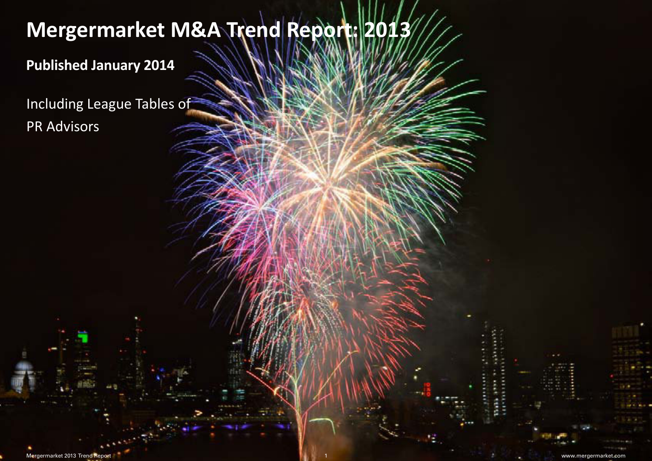## Title<br>Title **Mergermarket M&A Trend Report: 2013**

# **Published January 2014**

**Duarterly Manual Manual Manual Manual Manual Manual Comparison of the United States of the United States of Total Manual Manual Comparison of the United States of the United States of the United States of the United State** PR Advisors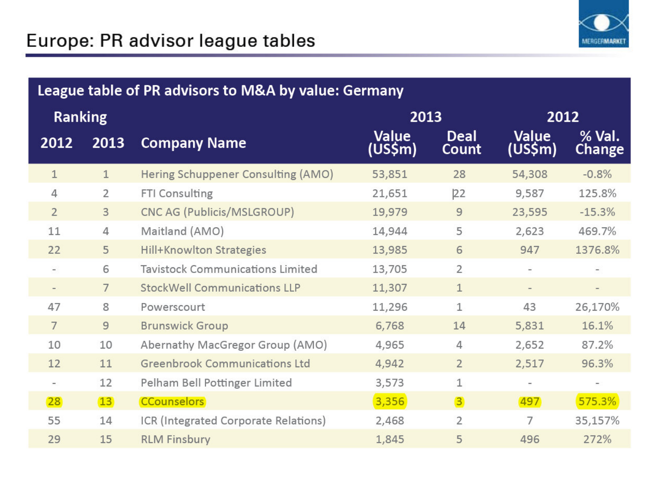

### League table of PR advisors to M&A by value: Germany

| <b>Ranking</b>           |                 |                                         | 2013                    |                      | 2012                     |                          |
|--------------------------|-----------------|-----------------------------------------|-------------------------|----------------------|--------------------------|--------------------------|
| 2012                     | 2013            | <b>Company Name</b>                     | <b>Value</b><br>(US\$m) | <b>Deal</b><br>Count | Value<br>(US\$m)         | % Val.<br>Change         |
| $\mathbf{1}$             | $\mathbf{1}$    | Hering Schuppener Consulting (AMO)      | 53,851                  | 28                   | 54,308                   | $-0.8%$                  |
| 4                        | $\overline{2}$  | FTI Consulting                          | 21,651                  | 22                   | 9,587                    | 125.8%                   |
| $\overline{2}$           | 3               | CNC AG (Publicis/MSLGROUP)              | 19,979                  | 9                    | 23,595                   | $-15.3%$                 |
| 11                       | 4               | Maitland (AMO)                          | 14,944                  | 5                    | 2,623                    | 469.7%                   |
| 22                       | 5               | <b>Hill+Knowlton Strategies</b>         | 13,985                  | 6                    | 947                      | 1376.8%                  |
| $\overline{\phantom{a}}$ | 6               | <b>Tavistock Communications Limited</b> | 13,705                  | $\overline{2}$       | $\overline{\phantom{a}}$ | $\overline{\phantom{a}}$ |
| $\overline{\phantom{a}}$ | $7\overline{ }$ | <b>StockWell Communications LLP</b>     | 11,307                  | 1                    | $\qquad \qquad =$        | $\qquad \qquad -$        |
| 47                       | 8               | Powerscourt                             | 11,296                  | 1                    | 43                       | 26,170%                  |
| $7\overline{ }$          | 9               | <b>Brunswick Group</b>                  | 6,768                   | 14                   | 5,831                    | 16.1%                    |
| 10                       | 10              | Abernathy MacGregor Group (AMO)         | 4,965                   | 4                    | 2,652                    | 87.2%                    |
| 12                       | 11              | <b>Greenbrook Communications Ltd</b>    | 4,942                   | $\overline{2}$       | 2,517                    | 96.3%                    |
| $\equiv$                 | 12              | Pelham Bell Pottinger Limited           | 3,573                   | 1                    | $\overline{\phantom{a}}$ | $\overline{\phantom{a}}$ |
| 28                       | 13              | <b>CCounselors</b>                      | 3,356                   | 3                    | 497                      | 575.3%                   |
| 55                       | 14              | ICR (Integrated Corporate Relations)    | 2,468                   | $\overline{2}$       | 7                        | 35,157%                  |
| 29                       | 15              | <b>RLM Finsbury</b>                     | 1,845                   | 5                    | 496                      | 272%                     |